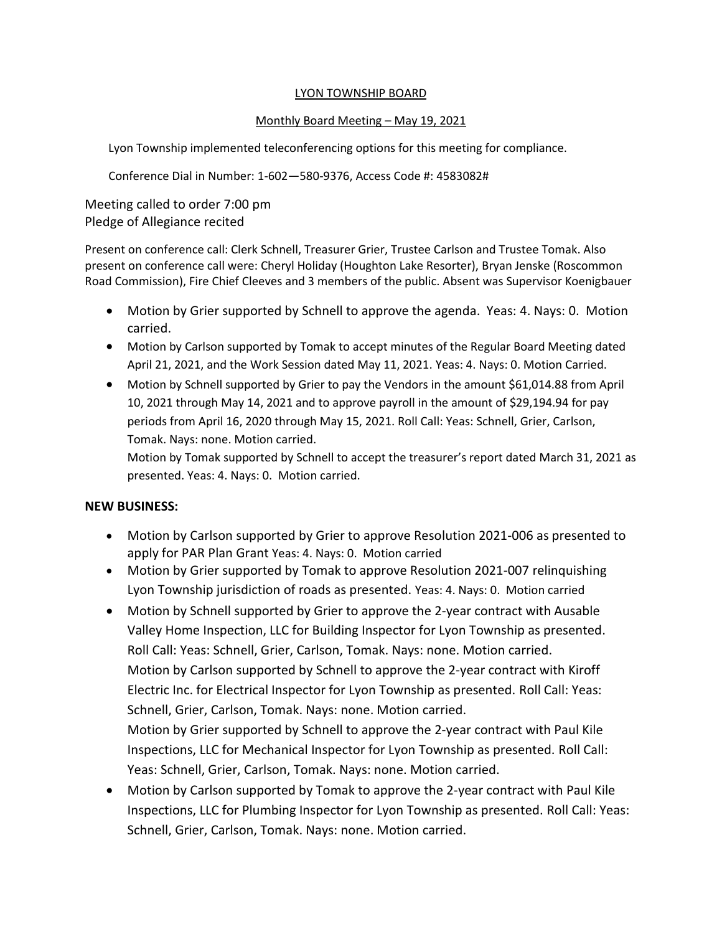#### LYON TOWNSHIP BOARD

## Monthly Board Meeting – May 19, 2021

Lyon Township implemented teleconferencing options for this meeting for compliance.

Conference Dial in Number: 1-602—580-9376, Access Code #: 4583082#

Meeting called to order 7:00 pm Pledge of Allegiance recited

Present on conference call: Clerk Schnell, Treasurer Grier, Trustee Carlson and Trustee Tomak. Also present on conference call were: Cheryl Holiday (Houghton Lake Resorter), Bryan Jenske (Roscommon Road Commission), Fire Chief Cleeves and 3 members of the public. Absent was Supervisor Koenigbauer

- Motion by Grier supported by Schnell to approve the agenda. Yeas: 4. Nays: 0. Motion carried.
- Motion by Carlson supported by Tomak to accept minutes of the Regular Board Meeting dated April 21, 2021, and the Work Session dated May 11, 2021. Yeas: 4. Nays: 0. Motion Carried.
- Motion by Schnell supported by Grier to pay the Vendors in the amount \$61,014.88 from April 10, 2021 through May 14, 2021 and to approve payroll in the amount of \$29,194.94 for pay periods from April 16, 2020 through May 15, 2021. Roll Call: Yeas: Schnell, Grier, Carlson, Tomak. Nays: none. Motion carried.

Motion by Tomak supported by Schnell to accept the treasurer's report dated March 31, 2021 as presented. Yeas: 4. Nays: 0. Motion carried.

## **NEW BUSINESS:**

- Motion by Carlson supported by Grier to approve Resolution 2021-006 as presented to apply for PAR Plan Grant Yeas: 4. Nays: 0. Motion carried
- Motion by Grier supported by Tomak to approve Resolution 2021-007 relinquishing Lyon Township jurisdiction of roads as presented. Yeas: 4. Nays: 0. Motion carried
- Motion by Schnell supported by Grier to approve the 2-year contract with Ausable Valley Home Inspection, LLC for Building Inspector for Lyon Township as presented. Roll Call: Yeas: Schnell, Grier, Carlson, Tomak. Nays: none. Motion carried. Motion by Carlson supported by Schnell to approve the 2-year contract with Kiroff Electric Inc. for Electrical Inspector for Lyon Township as presented. Roll Call: Yeas: Schnell, Grier, Carlson, Tomak. Nays: none. Motion carried. Motion by Grier supported by Schnell to approve the 2-year contract with Paul Kile Inspections, LLC for Mechanical Inspector for Lyon Township as presented. Roll Call: Yeas: Schnell, Grier, Carlson, Tomak. Nays: none. Motion carried.
- Motion by Carlson supported by Tomak to approve the 2-year contract with Paul Kile Inspections, LLC for Plumbing Inspector for Lyon Township as presented. Roll Call: Yeas: Schnell, Grier, Carlson, Tomak. Nays: none. Motion carried.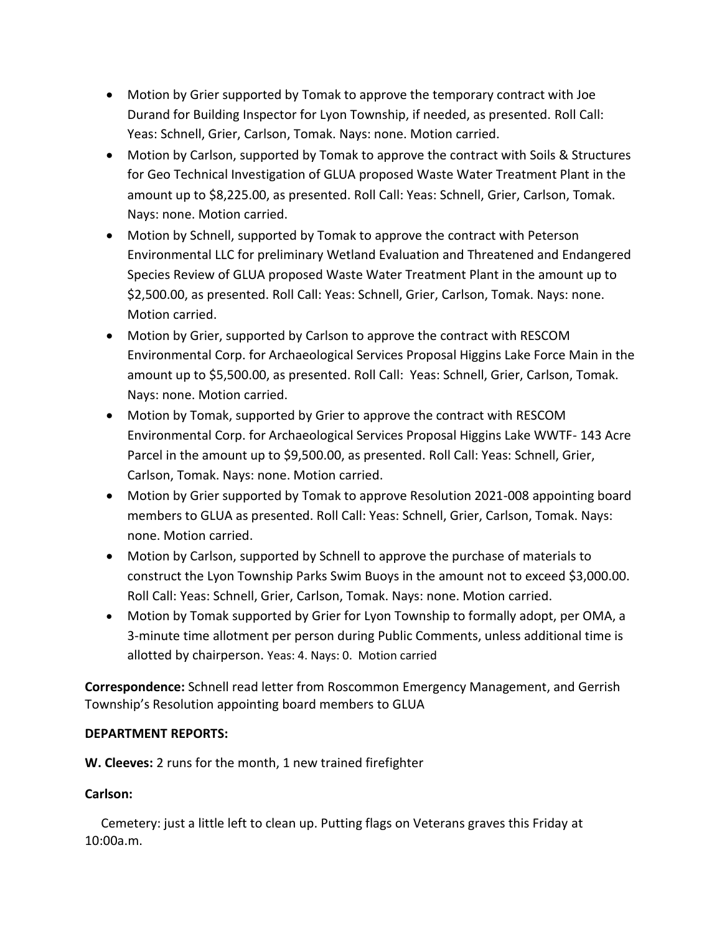- Motion by Grier supported by Tomak to approve the temporary contract with Joe Durand for Building Inspector for Lyon Township, if needed, as presented. Roll Call: Yeas: Schnell, Grier, Carlson, Tomak. Nays: none. Motion carried.
- Motion by Carlson, supported by Tomak to approve the contract with Soils & Structures for Geo Technical Investigation of GLUA proposed Waste Water Treatment Plant in the amount up to \$8,225.00, as presented. Roll Call: Yeas: Schnell, Grier, Carlson, Tomak. Nays: none. Motion carried.
- Motion by Schnell, supported by Tomak to approve the contract with Peterson Environmental LLC for preliminary Wetland Evaluation and Threatened and Endangered Species Review of GLUA proposed Waste Water Treatment Plant in the amount up to \$2,500.00, as presented. Roll Call: Yeas: Schnell, Grier, Carlson, Tomak. Nays: none. Motion carried.
- Motion by Grier, supported by Carlson to approve the contract with RESCOM Environmental Corp. for Archaeological Services Proposal Higgins Lake Force Main in the amount up to \$5,500.00, as presented. Roll Call: Yeas: Schnell, Grier, Carlson, Tomak. Nays: none. Motion carried.
- Motion by Tomak, supported by Grier to approve the contract with RESCOM Environmental Corp. for Archaeological Services Proposal Higgins Lake WWTF- 143 Acre Parcel in the amount up to \$9,500.00, as presented. Roll Call: Yeas: Schnell, Grier, Carlson, Tomak. Nays: none. Motion carried.
- Motion by Grier supported by Tomak to approve Resolution 2021-008 appointing board members to GLUA as presented. Roll Call: Yeas: Schnell, Grier, Carlson, Tomak. Nays: none. Motion carried.
- Motion by Carlson, supported by Schnell to approve the purchase of materials to construct the Lyon Township Parks Swim Buoys in the amount not to exceed \$3,000.00. Roll Call: Yeas: Schnell, Grier, Carlson, Tomak. Nays: none. Motion carried.
- Motion by Tomak supported by Grier for Lyon Township to formally adopt, per OMA, a 3-minute time allotment per person during Public Comments, unless additional time is allotted by chairperson. Yeas: 4. Nays: 0. Motion carried

**Correspondence:** Schnell read letter from Roscommon Emergency Management, and Gerrish Township's Resolution appointing board members to GLUA

# **DEPARTMENT REPORTS:**

**W. Cleeves:** 2 runs for the month, 1 new trained firefighter

# **Carlson:**

Cemetery: just a little left to clean up. Putting flags on Veterans graves this Friday at 10:00a.m.